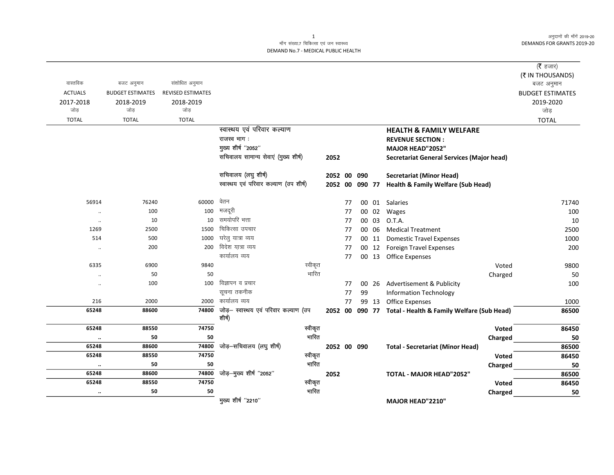अनुदानों की माँगें 2019-20 DEMANDS FOR GRANTS 2019-20

## माँग संख्या.7 चिकित्सा एवं जन स्वास्थ्य DEMAND No.7 - MEDICAL PUBLIC HEALTH

|                |                         |                          |                                                |         |             |    |        |       |                                                           | ( $\bar{\tau}$ हजार)<br>(₹ IN THOUSANDS) |
|----------------|-------------------------|--------------------------|------------------------------------------------|---------|-------------|----|--------|-------|-----------------------------------------------------------|------------------------------------------|
| वास्तविक       | बजट अनुमान              | संशोधित अनुमान           |                                                |         |             |    |        |       |                                                           | बजट अनुमान                               |
| <b>ACTUALS</b> | <b>BUDGET ESTIMATES</b> | <b>REVISED ESTIMATES</b> |                                                |         |             |    |        |       |                                                           | <b>BUDGET ESTIMATES</b>                  |
| 2017-2018      | 2018-2019               | 2018-2019                |                                                |         |             |    |        |       |                                                           | 2019-2020                                |
| जोड            | जोड                     | जोड                      |                                                |         |             |    |        |       |                                                           | जोड़                                     |
| <b>TOTAL</b>   | <b>TOTAL</b>            | <b>TOTAL</b>             |                                                |         |             |    |        |       |                                                           | <b>TOTAL</b>                             |
|                |                         |                          | स्वास्थय एवं परिवार कल्याण                     |         |             |    |        |       | <b>HEALTH &amp; FAMILY WELFARE</b>                        |                                          |
|                |                         |                          | राजस्व भाग:                                    |         |             |    |        |       | <b>REVENUE SECTION:</b>                                   |                                          |
|                |                         |                          | मुख्य शीर्ष "2052"                             |         |             |    |        |       | MAJOR HEAD"2052"                                          |                                          |
|                |                         |                          | सचिवालय सामान्य सेवाएं (मुख्य शीर्ष)           |         | 2052        |    |        |       | Secretariat General Services (Major head)                 |                                          |
|                |                         |                          | सचिवालय (लघु शीर्ष)                            |         | 2052 00     |    | 090    |       | <b>Secretariat (Minor Head)</b>                           |                                          |
|                |                         |                          | स्वास्थय एवं परिवार कल्याण (उप शीर्ष)          |         | 2052 00     |    | 090 77 |       | <b>Health &amp; Family Welfare (Sub Head)</b>             |                                          |
| 56914          | 76240                   | 60000                    | वेतन                                           |         |             | 77 |        | 00 01 | Salaries                                                  | 71740                                    |
| $\ddotsc$      | 100                     | 100                      | मजदूरी                                         |         |             | 77 |        | 00 02 | Wages                                                     | 100                                      |
| $\ldots$       | 10                      | 10                       | समयोपरि भत्ता                                  |         |             | 77 |        | 00 03 | O.T.A.                                                    | 10                                       |
| 1269           | 2500                    | 1500                     | चिकित्सा उपचार                                 |         |             | 77 |        | 00 06 | <b>Medical Treatment</b>                                  | 2500                                     |
| 514            | 500                     | 1000                     | घरेलु यात्रा व्यय                              |         |             | 77 |        | 00 11 | <b>Domestic Travel Expenses</b>                           | 1000                                     |
| $\ldots$       | 200                     | 200                      | विदेश यात्रा व्यय                              |         |             | 77 |        |       | 00 12 Foreign Travel Expenses                             | 200                                      |
|                |                         |                          | कार्यालय व्यय                                  |         |             | 77 |        |       | 00 13 Office Expenses                                     |                                          |
| 6335           | 6900                    | 9840                     |                                                | स्वीकृत |             |    |        |       | Voted                                                     | 9800                                     |
| $\ldots$       | 50                      | 50                       |                                                | भारित   |             |    |        |       | Charged                                                   | 50                                       |
| $\ddotsc$      | 100                     | 100                      | विज्ञापन व प्रचार                              |         |             | 77 |        | 00 26 | Advertisement & Publicity                                 | 100                                      |
|                |                         |                          | सूचना तकनीक                                    |         |             | 77 | 99     |       | <b>Information Technology</b>                             |                                          |
| 216            | 2000                    | 2000                     | कार्यालय व्यय                                  |         |             | 77 |        | 99 13 | <b>Office Expenses</b>                                    | 1000                                     |
| 65248          | 88600                   | 74800                    | जोड़— स्वास्थय एवं परिवार कल्याण (उप<br>शीर्ष) |         |             |    |        |       | 2052 00 090 77 Total - Health & Family Welfare (Sub Head) | 86500                                    |
| 65248          | 88550                   | 74750                    |                                                | स्वीकृत |             |    |        |       | Voted                                                     | 86450                                    |
| $\ddotsc$      | 50                      | 50                       |                                                | भारित   |             |    |        |       | Charged                                                   | 50                                       |
| 65248          | 88600                   | 74800                    | जोड़-सचिवालय (लघु शीर्ष)                       |         | 2052 00 090 |    |        |       | <b>Total - Secretariat (Minor Head)</b>                   | 86500                                    |
| 65248          | 88550                   | 74750                    |                                                | स्वीकृत |             |    |        |       | Voted                                                     | 86450                                    |
| $\ddotsc$      | 50                      | 50                       |                                                | गारित   |             |    |        |       | Charged                                                   | 50                                       |
| 65248          | 88600                   | 74800                    | जोड़-मुख्य शीर्ष "2052"                        |         | 2052        |    |        |       | <b>TOTAL - MAJOR HEAD"2052"</b>                           | 86500                                    |
| 65248          | 88550                   | 74750                    |                                                | स्वीकृत |             |    |        |       | Voted                                                     | 86450                                    |
|                | 50                      | 50                       |                                                | भारित   |             |    |        |       | Charged                                                   | 50                                       |
|                |                         |                          | मुख्य शीर्ष "2210"                             |         |             |    |        |       | MAJOR HEAD"2210"                                          |                                          |

1